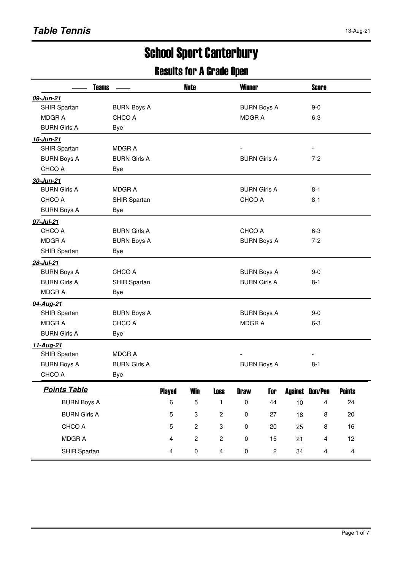# School Sport Canterbury

### Results for A Grade Open

| <b>Teams</b>        |                     |               | <b>Note</b>    |                         | <b>Winner</b>       |              |      | <b>Score</b>             |               |  |
|---------------------|---------------------|---------------|----------------|-------------------------|---------------------|--------------|------|--------------------------|---------------|--|
| 09-Jun-21           |                     |               |                |                         |                     |              |      |                          |               |  |
| SHIR Spartan        | <b>BURN Boys A</b>  |               |                |                         | <b>BURN Boys A</b>  |              |      | $9-0$                    |               |  |
| <b>MDGRA</b>        | CHCO A              |               |                |                         | <b>MDGRA</b>        |              |      | $6 - 3$                  |               |  |
| <b>BURN Girls A</b> | <b>Bye</b>          |               |                |                         |                     |              |      |                          |               |  |
| 16-Jun-21           |                     |               |                |                         |                     |              |      |                          |               |  |
| SHIR Spartan        | <b>MDGRA</b>        |               |                |                         |                     |              |      | $\overline{\phantom{a}}$ |               |  |
| <b>BURN Boys A</b>  | <b>BURN Girls A</b> |               |                |                         | <b>BURN Girls A</b> |              |      | $7 - 2$                  |               |  |
| CHCO A              | Bye                 |               |                |                         |                     |              |      |                          |               |  |
| 30-Jun-21           |                     |               |                |                         |                     |              |      |                          |               |  |
| <b>BURN Girls A</b> | <b>MDGRA</b>        |               |                |                         | <b>BURN Girls A</b> |              |      | $8 - 1$                  |               |  |
| CHCO A              | SHIR Spartan        |               |                |                         | CHCO A              |              |      | $8 - 1$                  |               |  |
| <b>BURN Boys A</b>  | <b>Bye</b>          |               |                |                         |                     |              |      |                          |               |  |
| 07-Jul-21           |                     |               |                |                         |                     |              |      |                          |               |  |
| CHCO A              | <b>BURN Girls A</b> |               |                |                         | CHCO A              |              |      | $6-3$                    |               |  |
| <b>MDGRA</b>        | <b>BURN Boys A</b>  |               |                |                         | <b>BURN Boys A</b>  |              |      | $7-2$                    |               |  |
| SHIR Spartan        | <b>Bye</b>          |               |                |                         |                     |              |      |                          |               |  |
| 28-Jul-21           |                     |               |                |                         |                     |              |      |                          |               |  |
| <b>BURN Boys A</b>  | CHCO A              |               |                |                         | <b>BURN Boys A</b>  |              |      | $9-0$                    |               |  |
| <b>BURN Girls A</b> | SHIR Spartan        |               |                |                         | <b>BURN Girls A</b> |              |      | $8 - 1$                  |               |  |
| <b>MDGRA</b>        | <b>Bye</b>          |               |                |                         |                     |              |      |                          |               |  |
| 04-Aug-21           |                     |               |                |                         |                     |              |      |                          |               |  |
| SHIR Spartan        | <b>BURN Boys A</b>  |               |                |                         | <b>BURN Boys A</b>  |              |      | $9 - 0$                  |               |  |
| <b>MDGRA</b>        | CHCO A              |               |                |                         | <b>MDGRA</b>        |              |      | $6-3$                    |               |  |
| <b>BURN Girls A</b> | <b>Bye</b>          |               |                |                         |                     |              |      |                          |               |  |
| <u>11-Aug-21</u>    |                     |               |                |                         |                     |              |      |                          |               |  |
| SHIR Spartan        | <b>MDGRA</b>        |               |                |                         |                     |              |      |                          |               |  |
| <b>BURN Boys A</b>  | <b>BURN Girls A</b> |               |                |                         | <b>BURN Boys A</b>  |              |      | $8 - 1$                  |               |  |
| CHCO A              | <b>Bye</b>          |               |                |                         |                     |              |      |                          |               |  |
| <b>Points Table</b> |                     | <b>Played</b> | <b>Win</b>     | <b>Loss</b>             | <b>Draw</b>         | For          |      | <b>Against Bon/Pen</b>   | <b>Points</b> |  |
| <b>BURN Boys A</b>  |                     | 6             | 5              | 1                       | $\pmb{0}$           | 44           | $10$ | $\overline{\mathbf{4}}$  | 24            |  |
| <b>BURN Girls A</b> |                     | 5             | 3              | $\overline{\mathbf{c}}$ | $\pmb{0}$           | 27           | 18   | 8                        | 20            |  |
| CHCO A              |                     | 5             | $\overline{c}$ | 3                       | $\pmb{0}$           | 20           | 25   | 8                        | 16            |  |
| MDGR A              |                     | 4             | $\overline{c}$ | $\overline{c}$          | $\pmb{0}$           | 15           | 21   | $\overline{\mathbf{4}}$  | 12            |  |
| SHIR Spartan        |                     | 4             | $\pmb{0}$      | $\overline{\mathbf{4}}$ | $\pmb{0}$           | $\mathbf{2}$ | 34   | $\overline{\mathbf{4}}$  | 4             |  |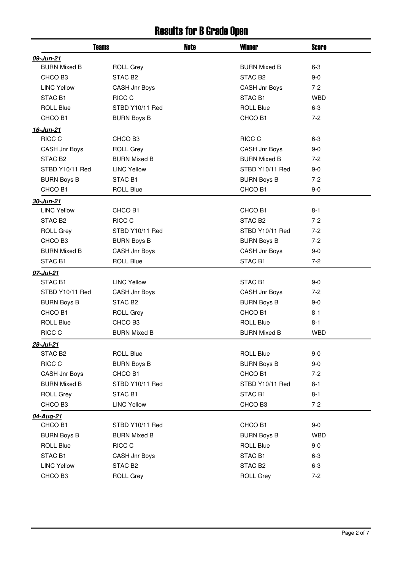### Results for B Grade Open

| <b>Teams</b>        |                     | <b>Note</b> | <b>Winner</b>       | <b>Score</b> |
|---------------------|---------------------|-------------|---------------------|--------------|
| 09-Jun-21           |                     |             |                     |              |
| <b>BURN Mixed B</b> | <b>ROLL Grey</b>    |             | <b>BURN Mixed B</b> | $6-3$        |
| CHCO B3             | STAC B <sub>2</sub> |             | STAC <sub>B2</sub>  | $9 - 0$      |
| <b>LINC Yellow</b>  | CASH Jnr Boys       |             | CASH Jnr Boys       | $7-2$        |
| STAC <sub>B1</sub>  | RICC C              |             | STAC <sub>B1</sub>  | <b>WBD</b>   |
| <b>ROLL Blue</b>    | STBD Y10/11 Red     |             | <b>ROLL Blue</b>    | $6 - 3$      |
| CHCO B1             | <b>BURN Boys B</b>  |             | CHCO B1             | $7-2$        |
| 16-Jun-21           |                     |             |                     |              |
| RICC C              | CHCO B3             |             | RICC C              | $6 - 3$      |
| CASH Jnr Boys       | <b>ROLL Grey</b>    |             | CASH Jnr Boys       | $9 - 0$      |
| STAC B <sub>2</sub> | <b>BURN Mixed B</b> |             | <b>BURN Mixed B</b> | $7-2$        |
| STBD Y10/11 Red     | <b>LINC Yellow</b>  |             | STBD Y10/11 Red     | $9 - 0$      |
| <b>BURN Boys B</b>  | STAC B1             |             | <b>BURN Boys B</b>  | $7-2$        |
| CHCO B1             | <b>ROLL Blue</b>    |             | CHCO B1             | $9 - 0$      |
| 30-Jun-21           |                     |             |                     |              |
| <b>LINC Yellow</b>  | CHCO <sub>B1</sub>  |             | CHCO B1             | $8 - 1$      |
| STAC <sub>B2</sub>  | RICC C              |             | STAC <sub>B2</sub>  | $7-2$        |
| <b>ROLL Grey</b>    | STBD Y10/11 Red     |             | STBD Y10/11 Red     | $7-2$        |
| CHCO B3             | <b>BURN Boys B</b>  |             | <b>BURN Boys B</b>  | $7-2$        |
| <b>BURN Mixed B</b> | CASH Jnr Boys       |             | CASH Jnr Boys       | $9 - 0$      |
| STAC B1             | <b>ROLL Blue</b>    |             | STAC B1             | $7-2$        |
| 07-Jul-21           |                     |             |                     |              |
| STAC <sub>B1</sub>  | <b>LINC Yellow</b>  |             | STAC <sub>B1</sub>  | $9 - 0$      |
| STBD Y10/11 Red     | CASH Jnr Boys       |             | CASH Jnr Boys       | $7-2$        |
| <b>BURN Boys B</b>  | STAC <sub>B2</sub>  |             | <b>BURN Boys B</b>  | $9 - 0$      |
| CHCO B1             | <b>ROLL Grey</b>    |             | CHCO B1             | $8 - 1$      |
| <b>ROLL Blue</b>    | CHCO B3             |             | <b>ROLL Blue</b>    | $8 - 1$      |
| RICC C              | <b>BURN Mixed B</b> |             | <b>BURN Mixed B</b> | <b>WBD</b>   |
| 28-Jul-21           |                     |             |                     |              |
| STAC B <sub>2</sub> | <b>ROLL Blue</b>    |             | <b>ROLL Blue</b>    | $9-0$        |
| RICC C              | <b>BURN Boys B</b>  |             | <b>BURN Boys B</b>  | $9-0$        |
| CASH Jnr Boys       | CHCO B1             |             | CHCO B1             | $7-2$        |
| <b>BURN Mixed B</b> | STBD Y10/11 Red     |             | STBD Y10/11 Red     | $8 - 1$      |
| <b>ROLL Grey</b>    | STAC B1             |             | STAC B1             | $8 - 1$      |
| CHCO B3             | <b>LINC Yellow</b>  |             | CHCO B3             | $7-2$        |
| 04-Aug-21           |                     |             |                     |              |
| CHCO B1             | STBD Y10/11 Red     |             | CHCO B1             | $9-0$        |
| <b>BURN Boys B</b>  | <b>BURN Mixed B</b> |             | <b>BURN Boys B</b>  | <b>WBD</b>   |
| <b>ROLL Blue</b>    | RICC C              |             | <b>ROLL Blue</b>    | $9-0$        |
| STAC B1             | CASH Jnr Boys       |             | STAC B1             | $6 - 3$      |
| <b>LINC Yellow</b>  | STAC B <sub>2</sub> |             | STAC <sub>B2</sub>  | $6 - 3$      |
| CHCO B3             | <b>ROLL Grey</b>    |             | <b>ROLL Grey</b>    | $7-2$        |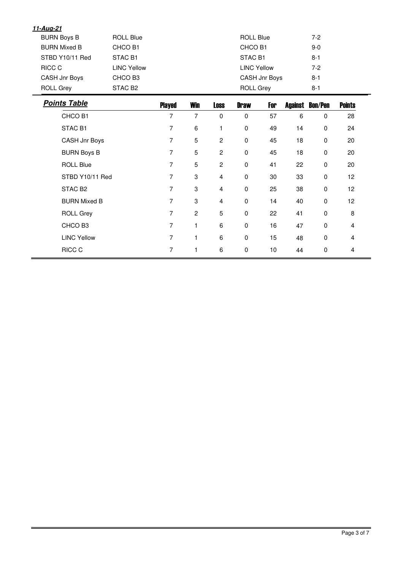| <u>11-Aug-21</u>    |                     |                |                |                |                    |               |         |                |               |  |
|---------------------|---------------------|----------------|----------------|----------------|--------------------|---------------|---------|----------------|---------------|--|
| <b>BURN Boys B</b>  | <b>ROLL Blue</b>    |                |                |                | <b>ROLL Blue</b>   |               |         | $7-2$          |               |  |
| <b>BURN Mixed B</b> | CHCO B1             |                |                |                | CHCO B1            |               |         | $9-0$          |               |  |
| STBD Y10/11 Red     | STAC <sub>B1</sub>  |                |                |                | STAC <sub>B1</sub> |               |         | $8 - 1$        |               |  |
| RICC C              | <b>LINC Yellow</b>  |                |                |                | <b>LINC Yellow</b> |               |         | $7 - 2$        |               |  |
| CASH Jnr Boys       | CHCO B3             |                |                |                |                    | CASH Jnr Boys |         | $8 - 1$        |               |  |
| <b>ROLL Grey</b>    | STAC B <sub>2</sub> |                |                |                | <b>ROLL Grey</b>   |               |         | $8 - 1$        |               |  |
| <b>Points Table</b> |                     | <b>Played</b>  | <b>Win</b>     | <b>Loss</b>    | <b>Draw</b>        | For           | Against | <b>Bon/Pen</b> | <b>Points</b> |  |
| CHCO B1             |                     | $\overline{7}$ | $\overline{7}$ | $\mathbf 0$    | $\mathbf 0$        | 57            | 6       | 0              | 28            |  |
| STAC <sub>B1</sub>  |                     | 7              | 6              | 1              | $\pmb{0}$          | 49            | 14      | 0              | 24            |  |
| CASH Jnr Boys       |                     | 7              | 5              | $\overline{c}$ | $\mathbf 0$        | 45            | 18      | $\mathbf 0$    | 20            |  |
| <b>BURN Boys B</b>  |                     | 7              | 5              | $\overline{c}$ | $\pmb{0}$          | 45            | 18      | 0              | 20            |  |
| <b>ROLL Blue</b>    |                     | 7              | 5              | $\mathbf{2}$   | $\pmb{0}$          | 41            | 22      | 0              | 20            |  |
| STBD Y10/11 Red     |                     | 7              | 3              | $\overline{4}$ | $\pmb{0}$          | 30            | 33      | 0              | 12            |  |
| STAC B <sub>2</sub> |                     | 7              | 3              | $\overline{4}$ | $\pmb{0}$          | 25            | 38      | 0              | 12            |  |
| <b>BURN Mixed B</b> |                     | $\overline{7}$ | 3              | $\overline{4}$ | $\pmb{0}$          | 14            | 40      | 0              | 12            |  |
| <b>ROLL Grey</b>    |                     | $\overline{7}$ | $\overline{c}$ | 5              | $\pmb{0}$          | 22            | 41      | 0              | 8             |  |
| CHCO B3             |                     | $\overline{7}$ | $\mathbf{1}$   | 6              | $\mathbf 0$        | 16            | 47      | $\mathbf 0$    | 4             |  |
| <b>LINC Yellow</b>  |                     | $\overline{7}$ | $\mathbf{1}$   | 6              | $\pmb{0}$          | 15            | 48      | $\mathbf 0$    | 4             |  |
| RICC C              |                     | $\overline{7}$ | $\mathbf{1}$   | 6              | $\mathbf 0$        | 10            | 44      | $\mathbf 0$    | 4             |  |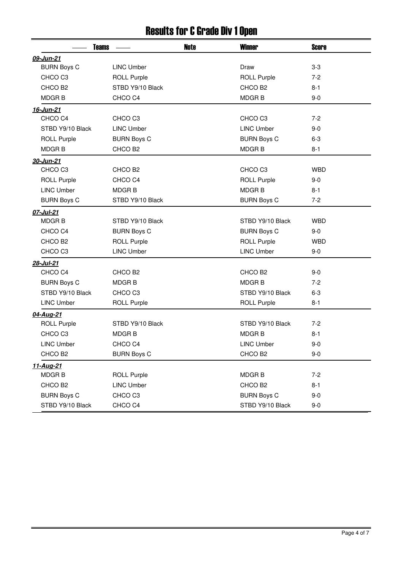## Results for C Grade Div 1 Open

| <b>Teams</b>        |                     | Note | <b>Winner</b>       | <b>Score</b> |
|---------------------|---------------------|------|---------------------|--------------|
| 09-Jun-21           |                     |      |                     |              |
| <b>BURN Boys C</b>  | <b>LINC Umber</b>   |      | Draw                | $3-3$        |
| CHCO <sub>C3</sub>  | <b>ROLL Purple</b>  |      | <b>ROLL Purple</b>  | $7-2$        |
| CHCO B <sub>2</sub> | STBD Y9/10 Black    |      | CHCO B <sub>2</sub> | $8 - 1$      |
| <b>MDGRB</b>        | CHCO <sub>C4</sub>  |      | <b>MDGRB</b>        | $9-0$        |
| 16-Jun-21           |                     |      |                     |              |
| CHCO <sub>C4</sub>  | CHCO <sub>C3</sub>  |      | CHCO <sub>C3</sub>  | $7-2$        |
| STBD Y9/10 Black    | <b>LINC Umber</b>   |      | <b>LINC Umber</b>   | $9-0$        |
| <b>ROLL Purple</b>  | <b>BURN Boys C</b>  |      | <b>BURN Boys C</b>  | $6 - 3$      |
| <b>MDGRB</b>        | CHCO B <sub>2</sub> |      | <b>MDGRB</b>        | $8 - 1$      |
| 30-Jun-21           |                     |      |                     |              |
| CHCO <sub>C3</sub>  | CHCO B <sub>2</sub> |      | CHCO <sub>C3</sub>  | <b>WBD</b>   |
| <b>ROLL Purple</b>  | CHCO <sub>C4</sub>  |      | <b>ROLL Purple</b>  | $9-0$        |
| <b>LINC Umber</b>   | <b>MDGRB</b>        |      | <b>MDGRB</b>        | $8 - 1$      |
| <b>BURN Boys C</b>  | STBD Y9/10 Black    |      | <b>BURN Boys C</b>  | $7 - 2$      |
| 07-Jul-21           |                     |      |                     |              |
| <b>MDGRB</b>        | STBD Y9/10 Black    |      | STBD Y9/10 Black    | <b>WBD</b>   |
| CHCO C4             | <b>BURN Boys C</b>  |      | <b>BURN Boys C</b>  | $9-0$        |
| CHCO B <sub>2</sub> | <b>ROLL Purple</b>  |      | <b>ROLL Purple</b>  | <b>WBD</b>   |
| CHCO <sub>C3</sub>  | <b>LINC Umber</b>   |      | <b>LINC Umber</b>   | $9-0$        |
| 28-Jul-21           |                     |      |                     |              |
| CHCO <sub>C4</sub>  | CHCO B <sub>2</sub> |      | CHCO B <sub>2</sub> | $9-0$        |
| <b>BURN Boys C</b>  | <b>MDGRB</b>        |      | <b>MDGRB</b>        | $7 - 2$      |
| STBD Y9/10 Black    | CHCO <sub>C3</sub>  |      | STBD Y9/10 Black    | $6-3$        |
| <b>LINC Umber</b>   | <b>ROLL Purple</b>  |      | <b>ROLL Purple</b>  | $8 - 1$      |
| 04-Aug-21           |                     |      |                     |              |
| <b>ROLL Purple</b>  | STBD Y9/10 Black    |      | STBD Y9/10 Black    | $7 - 2$      |
| CHCO <sub>C3</sub>  | <b>MDGRB</b>        |      | <b>MDGRB</b>        | $8 - 1$      |
| <b>LINC Umber</b>   | CHCO <sub>C4</sub>  |      | <b>LINC Umber</b>   | $9-0$        |
| CHCO <sub>B2</sub>  | <b>BURN Boys C</b>  |      | CHCO B <sub>2</sub> | $9-0$        |
| 11-Aug-21           |                     |      |                     |              |
| <b>MDGRB</b>        | <b>ROLL Purple</b>  |      | <b>MDGRB</b>        | $7 - 2$      |
| CHCO B <sub>2</sub> | <b>LINC Umber</b>   |      | CHCO B <sub>2</sub> | $8 - 1$      |
| <b>BURN Boys C</b>  | CHCO <sub>C3</sub>  |      | <b>BURN Boys C</b>  | $9-0$        |
| STBD Y9/10 Black    | CHCO <sub>C4</sub>  |      | STBD Y9/10 Black    | $9-0$        |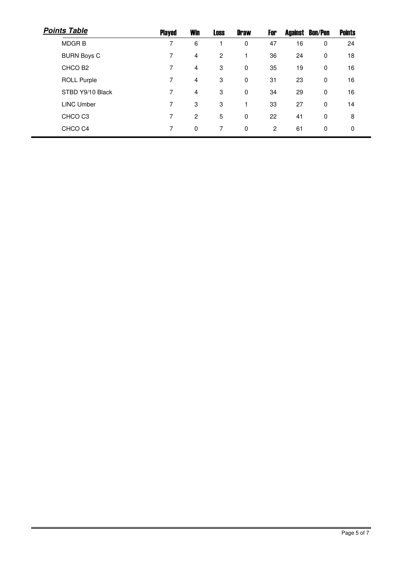| <b>Points Table</b> | <b>Played</b> | <b>Win</b> | <b>Loss</b> | <b>Draw</b> | For |    | <b>Against Bon/Pen</b> | <b>Points</b> |
|---------------------|---------------|------------|-------------|-------------|-----|----|------------------------|---------------|
| <b>MDGRB</b>        | 7             | 6          |             | $\mathbf 0$ | 47  | 16 | 0                      | 24            |
| <b>BURN Boys C</b>  | 7             | 4          | 2           |             | 36  | 24 | 0                      | 18            |
| CHCO B <sub>2</sub> | 7             | 4          | 3           | $\mathbf 0$ | 35  | 19 | 0                      | 16            |
| <b>ROLL Purple</b>  | 7             | 4          | 3           | $\mathbf 0$ | 31  | 23 | 0                      | 16            |
| STBD Y9/10 Black    | 7             | 4          | 3           | $\mathbf 0$ | 34  | 29 | 0                      | 16            |
| <b>LINC Umber</b>   | 7             | 3          | 3           |             | 33  | 27 | 0                      | 14            |
| CHCO <sub>C3</sub>  | 7             | 2          | 5           | 0           | 22  | 41 | 0                      | 8             |
| CHCO <sub>C4</sub>  | 7             | 0          | 7           | 0           | 2   | 61 | 0                      | 0             |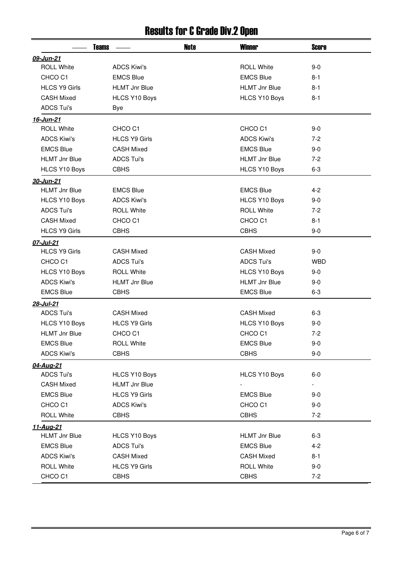## Results for C Grade Div.2 Open

|                      | <b>Teams</b>         | Note | <b>Winner</b>        | <b>Score</b> |
|----------------------|----------------------|------|----------------------|--------------|
| 09-Jun-21            |                      |      |                      |              |
| <b>ROLL White</b>    | <b>ADCS Kiwi's</b>   |      | <b>ROLL White</b>    | $9-0$        |
| CHCO <sub>C1</sub>   | <b>EMCS Blue</b>     |      | <b>EMCS Blue</b>     | $8 - 1$      |
| <b>HLCS Y9 Girls</b> | <b>HLMT Jnr Blue</b> |      | <b>HLMT Jnr Blue</b> | $8 - 1$      |
| <b>CASH Mixed</b>    | <b>HLCS Y10 Boys</b> |      | HLCS Y10 Boys        | $8 - 1$      |
| <b>ADCS Tui's</b>    | Bye                  |      |                      |              |
| 16-Jun-21            |                      |      |                      |              |
| <b>ROLL White</b>    | CHCO <sub>C1</sub>   |      | CHCO <sub>C1</sub>   | $9-0$        |
| <b>ADCS Kiwi's</b>   | <b>HLCS Y9 Girls</b> |      | <b>ADCS Kiwi's</b>   | $7-2$        |
| <b>EMCS Blue</b>     | <b>CASH Mixed</b>    |      | <b>EMCS Blue</b>     | $9 - 0$      |
| <b>HLMT Jnr Blue</b> | <b>ADCS Tui's</b>    |      | <b>HLMT Jnr Blue</b> | $7-2$        |
| HLCS Y10 Boys        | <b>CBHS</b>          |      | HLCS Y10 Boys        | $6 - 3$      |
| 30-Jun-21            |                      |      |                      |              |
| <b>HLMT Jnr Blue</b> | <b>EMCS Blue</b>     |      | <b>EMCS Blue</b>     | $4 - 2$      |
| HLCS Y10 Boys        | <b>ADCS Kiwi's</b>   |      | HLCS Y10 Boys        | $9-0$        |
| <b>ADCS Tui's</b>    | <b>ROLL White</b>    |      | <b>ROLL White</b>    | $7-2$        |
| <b>CASH Mixed</b>    | CHCO <sub>C1</sub>   |      | CHCO <sub>C1</sub>   | $8 - 1$      |
| <b>HLCS Y9 Girls</b> | <b>CBHS</b>          |      | <b>CBHS</b>          | $9-0$        |
| 07-Jul-21            |                      |      |                      |              |
| <b>HLCS Y9 Girls</b> | <b>CASH Mixed</b>    |      | <b>CASH Mixed</b>    | $9-0$        |
| CHCO <sub>C1</sub>   | <b>ADCS Tui's</b>    |      | <b>ADCS Tui's</b>    | <b>WBD</b>   |
| HLCS Y10 Boys        | <b>ROLL White</b>    |      | <b>HLCS Y10 Boys</b> | $9 - 0$      |
| <b>ADCS Kiwi's</b>   | <b>HLMT Jnr Blue</b> |      | <b>HLMT Jnr Blue</b> | $9 - 0$      |
| <b>EMCS Blue</b>     | <b>CBHS</b>          |      | <b>EMCS Blue</b>     | $6 - 3$      |
| 28-Jul-21            |                      |      |                      |              |
| <b>ADCS Tui's</b>    | <b>CASH Mixed</b>    |      | <b>CASH Mixed</b>    | $6 - 3$      |
| HLCS Y10 Boys        | <b>HLCS Y9 Girls</b> |      | HLCS Y10 Boys        | $9-0$        |
| <b>HLMT Jnr Blue</b> | CHCO <sub>C1</sub>   |      | CHCO <sub>C1</sub>   | $7 - 2$      |
| <b>EMCS Blue</b>     | <b>ROLL White</b>    |      | <b>EMCS Blue</b>     | $9-0$        |
| <b>ADCS Kiwi's</b>   | <b>CBHS</b>          |      | <b>CBHS</b>          | $9-0$        |
| 04-Aug-21            |                      |      |                      |              |
| <b>ADCS Tui's</b>    | HLCS Y10 Boys        |      | HLCS Y10 Boys        | $6-0$        |
| <b>CASH Mixed</b>    | <b>HLMT Jnr Blue</b> |      |                      |              |
| <b>EMCS Blue</b>     | <b>HLCS Y9 Girls</b> |      | <b>EMCS Blue</b>     | 9-0          |
| CHCO <sub>C1</sub>   | <b>ADCS Kiwi's</b>   |      | CHCO <sub>C1</sub>   | $9-0$        |
| <b>ROLL White</b>    | <b>CBHS</b>          |      | <b>CBHS</b>          | $7-2$        |
| <u>11-Aug-21</u>     |                      |      |                      |              |
| <b>HLMT Jnr Blue</b> | HLCS Y10 Boys        |      | <b>HLMT Jnr Blue</b> | $6 - 3$      |
| <b>EMCS Blue</b>     | <b>ADCS Tui's</b>    |      | <b>EMCS Blue</b>     | $4 - 2$      |
| <b>ADCS Kiwi's</b>   | <b>CASH Mixed</b>    |      | <b>CASH Mixed</b>    | $8 - 1$      |
| <b>ROLL White</b>    | <b>HLCS Y9 Girls</b> |      | <b>ROLL White</b>    | $9-0$        |
| CHCO C1              | <b>CBHS</b>          |      | <b>CBHS</b>          | $7 - 2$      |